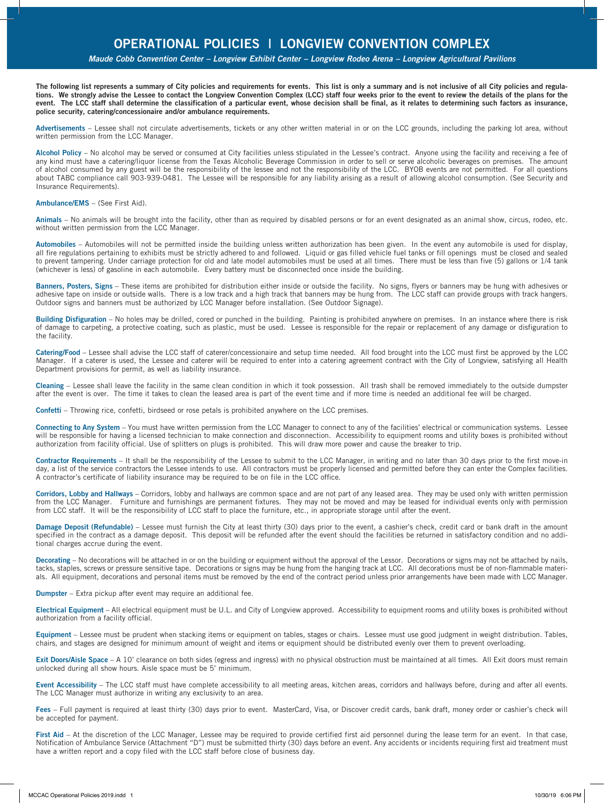*Maude Cobb Convention Center – Longview Exhibit Center – Longview Rodeo Arena – Longview Agricultural Pavilions*

**The following list represents a summary of City policies and requirements for events. This list is only a summary and is not inclusive of all City policies and regulations. We strongly advise the Lessee to contact the Longview Convention Complex (LCC) staff four weeks prior to the event to review the details of the plans for the event. The LCC staff shall determine the classification of a particular event, whose decision shall be final, as it relates to determining such factors as insurance, police security, catering/concessionaire and/or ambulance requirements.**

**Advertisements** – Lessee shall not circulate advertisements, tickets or any other written material in or on the LCC grounds, including the parking lot area, without written permission from the LCC Manager.

**Alcohol Policy** – No alcohol may be served or consumed at City facilities unless stipulated in the Lessee's contract. Anyone using the facility and receiving a fee of any kind must have a catering/liquor license from the Texas Alcoholic Beverage Commission in order to sell or serve alcoholic beverages on premises. The amount of alcohol consumed by any guest will be the responsibility of the lessee and not the responsibility of the LCC. BYOB events are not permitted. For all questions about TABC compliance call 903-939-0481. The Lessee will be responsible for any liability arising as a result of allowing alcohol consumption. (See Security and Insurance Requirements).

## **Ambulance/EMS** – (See First Aid).

**Animals** – No animals will be brought into the facility, other than as required by disabled persons or for an event designated as an animal show, circus, rodeo, etc. without written permission from the LCC Manager.

**Automobiles** – Automobiles will not be permitted inside the building unless written authorization has been given. In the event any automobile is used for display, all fire regulations pertaining to exhibits must be strictly adhered to and followed. Liquid or gas filled vehicle fuel tanks or fill openings must be closed and sealed to prevent tampering. Under carriage protection for old and late model automobiles must be used at all times. There must be less than five (5) gallons or 1/4 tank (whichever is less) of gasoline in each automobile. Every battery must be disconnected once inside the building.

**Banners, Posters, Signs** – These items are prohibited for distribution either inside or outside the facility. No signs, flyers or banners may be hung with adhesives or adhesive tape on inside or outside walls. There is a low track and a high track that banners may be hung from. The LCC staff can provide groups with track hangers. Outdoor signs and banners must be authorized by LCC Manager before installation. (See Outdoor Signage).

**Building Disfiguration** – No holes may be drilled, cored or punched in the building. Painting is prohibited anywhere on premises. In an instance where there is risk of damage to carpeting, a protective coating, such as plastic, must be used. Lessee is responsible for the repair or replacement of any damage or disfiguration to the facility.

Catering/Food – Lessee shall advise the LCC staff of caterer/concessionaire and setup time needed. All food brought into the LCC must first be approved by the LCC Manager. If a caterer is used, the Lessee and caterer will be required to enter into a catering agreement contract with the City of Longview, satisfying all Health Department provisions for permit, as well as liability insurance.

**Cleaning** – Lessee shall leave the facility in the same clean condition in which it took possession. All trash shall be removed immediately to the outside dumpster after the event is over. The time it takes to clean the leased area is part of the event time and if more time is needed an additional fee will be charged.

**Confetti** – Throwing rice, confetti, birdseed or rose petals is prohibited anywhere on the LCC premises.

**Connecting to Any System** – You must have written permission from the LCC Manager to connect to any of the facilities' electrical or communication systems. Lessee will be responsible for having a licensed technician to make connection and disconnection. Accessibility to equipment rooms and utility boxes is prohibited without authorization from facility official. Use of splitters on plugs is prohibited. This will draw more power and cause the breaker to trip.

**Contractor Requirements** – It shall be the responsibility of the Lessee to submit to the LCC Manager, in writing and no later than 30 days prior to the first move-in day, a list of the service contractors the Lessee intends to use. All contractors must be properly licensed and permitted before they can enter the Complex facilities. A contractor's certificate of liability insurance may be required to be on file in the LCC office.

**Corridors, Lobby and Hallways** – Corridors, lobby and hallways are common space and are not part of any leased area. They may be used only with written permission from the LCC Manager. Furniture and furnishings are permanent fixtures. They may not be moved and may be leased for individual events only with permission from LCC staff. It will be the responsibility of LCC staff to place the furniture, etc., in appropriate storage until after the event.

Damage Deposit (Refundable) – Lessee must furnish the City at least thirty (30) days prior to the event, a cashier's check, credit card or bank draft in the amount specified in the contract as a damage deposit. This deposit will be refunded after the event should the facilities be returned in satisfactory condition and no additional charges accrue during the event.

Decorating - No decorations will be attached in or on the building or equipment without the approval of the Lessor. Decorations or signs may not be attached by nails, tacks, staples, screws or pressure sensitive tape. Decorations or signs may be hung from the hanging track at LCC. All decorations must be of non-flammable materials. All equipment, decorations and personal items must be removed by the end of the contract period unless prior arrangements have been made with LCC Manager.

**Dumpster** – Extra pickup after event may require an additional fee.

**Electrical Equipment** – All electrical equipment must be U.L. and City of Longview approved. Accessibility to equipment rooms and utility boxes is prohibited without authorization from a facility official.

**Equipment** – Lessee must be prudent when stacking items or equipment on tables, stages or chairs. Lessee must use good judgment in weight distribution. Tables, chairs, and stages are designed for minimum amount of weight and items or equipment should be distributed evenly over them to prevent overloading.

**Exit Doors/Aisle Space** – A 10' clearance on both sides (egress and ingress) with no physical obstruction must be maintained at all times. All Exit doors must remain unlocked during all show hours. Aisle space must be 5' minimum.

**Event Accessibility** – The LCC staff must have complete accessibility to all meeting areas, kitchen areas, corridors and hallways before, during and after all events. The LCC Manager must authorize in writing any exclusivity to an area.

**Fees** – Full payment is required at least thirty (30) days prior to event. MasterCard, Visa, or Discover credit cards, bank draft, money order or cashier's check will be accepted for payment.

First Aid – At the discretion of the LCC Manager, Lessee may be required to provide certified first aid personnel during the lease term for an event. In that case, Notification of Ambulance Service (Attachment "D") must be submitted thirty (30) days before an event. Any accidents or incidents requiring first aid treatment must have a written report and a copy filed with the LCC staff before close of business day.